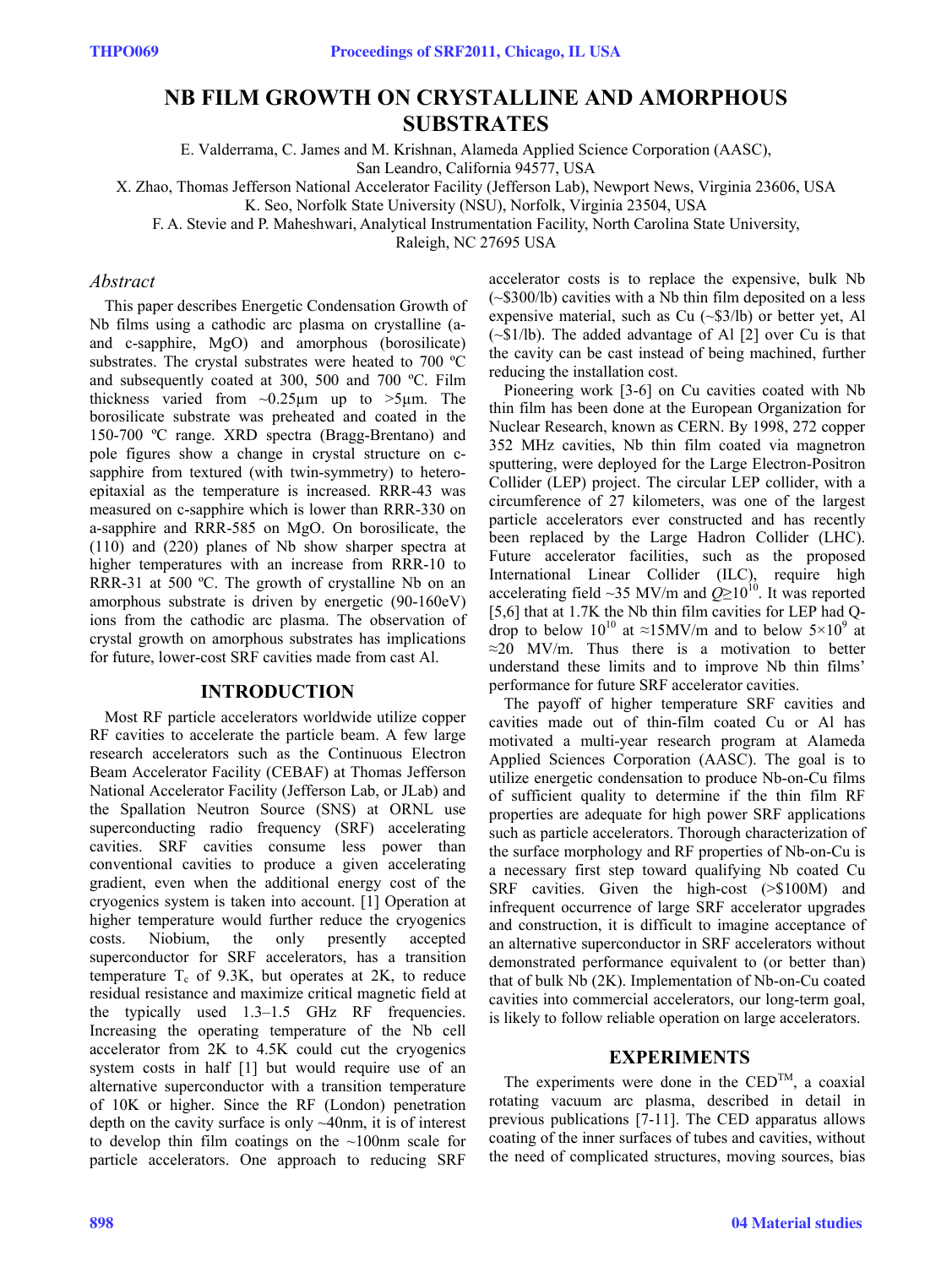# **NB FILM GROWTH ON CRYSTALLINE AND AMORPHOUS SUBSTRATES**

E. Valderrama, C. James and M. Krishnan, Alameda Applied Science Corporation (AASC),

San Leandro, California 94577, USA

X. Zhao, Thomas Jefferson National Accelerator Facility (Jefferson Lab), Newport News, Virginia 23606, USA

K. Seo, Norfolk State University (NSU), Norfolk, Virginia 23504, USA

F. A. Stevie and P. Maheshwari, Analytical Instrumentation Facility, North Carolina State University,

Raleigh, NC 27695 USA

## *Abstract*

This paper describes Energetic Condensation Growth of Nb films using a cathodic arc plasma on crystalline (aand c-sapphire, MgO) and amorphous (borosilicate) substrates. The crystal substrates were heated to 700 ºC and subsequently coated at 300, 500 and 700 ºC. Film thickness varied from  $\sim 0.25 \mu m$  up to  $>5 \mu m$ . The borosilicate substrate was preheated and coated in the 150-700 ºC range. XRD spectra (Bragg-Brentano) and pole figures show a change in crystal structure on csapphire from textured (with twin-symmetry) to heteroepitaxial as the temperature is increased. RRR-43 was measured on c-sapphire which is lower than RRR-330 on a-sapphire and RRR-585 on MgO. On borosilicate, the (110) and (220) planes of Nb show sharper spectra at higher temperatures with an increase from RRR-10 to RRR-31 at 500 °C. The growth of crystalline Nb on an amorphous substrate is driven by energetic (90-160eV) ions from the cathodic arc plasma. The observation of crystal growth on amorphous substrates has implications for future, lower-cost SRF cavities made from cast Al.

## **INTRODUCTION**

Most RF particle accelerators worldwide utilize copper RF cavities to accelerate the particle beam. A few large research accelerators such as the Continuous Electron Beam Accelerator Facility (CEBAF) at Thomas Jefferson National Accelerator Facility (Jefferson Lab, or JLab) and the Spallation Neutron Source (SNS) at ORNL use superconducting radio frequency (SRF) accelerating cavities. SRF cavities consume less power than conventional cavities to produce a given accelerating gradient, even when the additional energy cost of the cryogenics system is taken into account. [1] Operation at higher temperature would further reduce the cryogenics costs. Niobium, the only presently accepted superconductor for SRF accelerators, has a transition temperature  $T_c$  of 9.3K, but operates at 2K, to reduce residual resistance and maximize critical magnetic field at the typically used 1.3–1.5 GHz RF frequencies. Increasing the operating temperature of the Nb cell accelerator from 2K to 4.5K could cut the cryogenics system costs in half [1] but would require use of an alternative superconductor with a transition temperature of 10K or higher. Since the RF (London) penetration depth on the cavity surface is only ~40nm, it is of interest to develop thin film coatings on the ~100nm scale for particle accelerators. One approach to reducing SRF

accelerator costs is to replace the expensive, bulk Nb (~\$300/lb) cavities with a Nb thin film deposited on a less expensive material, such as Cu (~\$3/lb) or better yet, Al (~\$1/lb). The added advantage of Al [2] over Cu is that the cavity can be cast instead of being machined, further reducing the installation cost.

Pioneering work [3-6] on Cu cavities coated with Nb thin film has been done at the European Organization for Nuclear Research, known as CERN. By 1998, 272 copper 352 MHz cavities, Nb thin film coated via magnetron sputtering, were deployed for the Large Electron-Positron Collider (LEP) project. The circular LEP collider, with a circumference of 27 kilometers, was one of the largest particle accelerators ever constructed and has recently been replaced by the Large Hadron Collider (LHC). Future accelerator facilities, such as the proposed International Linear Collider (ILC), require high accelerating field ~35 MV/m and  $Q \ge 10^{10}$ . It was reported [5,6] that at 1.7K the Nb thin film cavities for LEP had Qdrop to below  $10^{10}$  at ≈15MV/m and to below  $5\times10^{9}$  at  $\approx$ 20 MV/m. Thus there is a motivation to better understand these limits and to improve Nb thin films' performance for future SRF accelerator cavities.

The payoff of higher temperature SRF cavities and cavities made out of thin-film coated Cu or Al has motivated a multi-year research program at Alameda Applied Sciences Corporation (AASC). The goal is to utilize energetic condensation to produce Nb-on-Cu films of sufficient quality to determine if the thin film RF properties are adequate for high power SRF applications such as particle accelerators. Thorough characterization of the surface morphology and RF properties of Nb-on-Cu is a necessary first step toward qualifying Nb coated Cu SRF cavities. Given the high-cost (>\$100M) and infrequent occurrence of large SRF accelerator upgrades and construction, it is difficult to imagine acceptance of an alternative superconductor in SRF accelerators without demonstrated performance equivalent to (or better than) that of bulk Nb (2K). Implementation of Nb-on-Cu coated cavities into commercial accelerators, our long-term goal, is likely to follow reliable operation on large accelerators.

## **EXPERIMENTS**

The experiments were done in the  $\mathrm{CED}^{\mathrm{TM}}$ , a coaxial rotating vacuum arc plasma, described in detail in previous publications [7-11]. The CED apparatus allows coating of the inner surfaces of tubes and cavities, without the need of complicated structures, moving sources, bias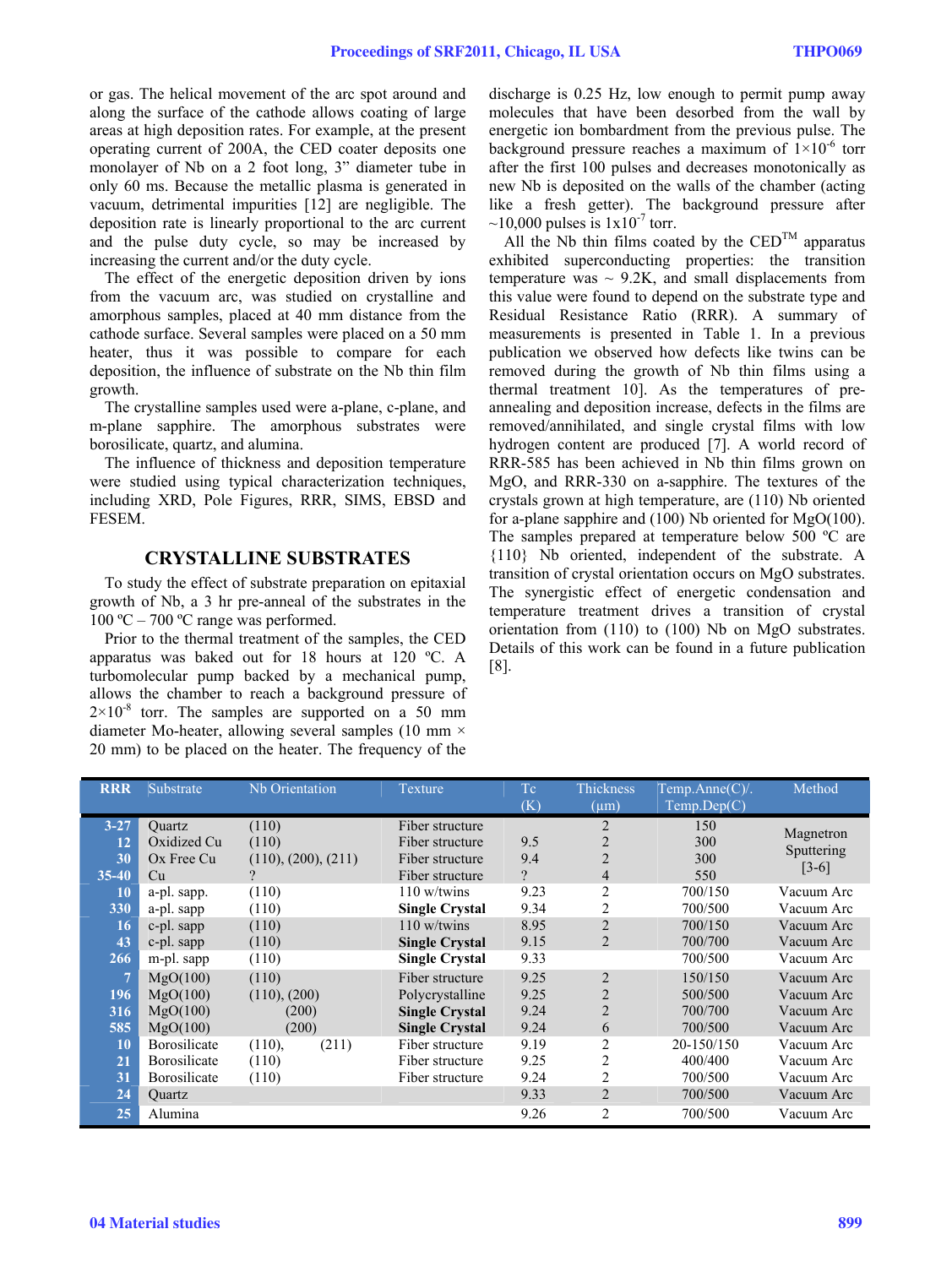or gas. The helical movement of the arc spot around and along the surface of the cathode allows coating of large areas at high deposition rates. For example, at the present operating current of 200A, the CED coater deposits one monolayer of Nb on a 2 foot long, 3" diameter tube in only 60 ms. Because the metallic plasma is generated in vacuum, detrimental impurities [12] are negligible. The deposition rate is linearly proportional to the arc current and the pulse duty cycle, so may be increased by increasing the current and/or the duty cycle.

The effect of the energetic deposition driven by ions from the vacuum arc, was studied on crystalline and amorphous samples, placed at 40 mm distance from the cathode surface. Several samples were placed on a 50 mm heater, thus it was possible to compare for each deposition, the influence of substrate on the Nb thin film growth.

The crystalline samples used were a-plane, c-plane, and m-plane sapphire. The amorphous substrates were borosilicate, quartz, and alumina.

The influence of thickness and deposition temperature were studied using typical characterization techniques, including XRD, Pole Figures, RRR, SIMS, EBSD and FESEM.

## **CRYSTALLINE SUBSTRATES**

To study the effect of substrate preparation on epitaxial growth of Nb, a 3 hr pre-anneal of the substrates in the 100 °C – 700 °C range was performed.

Prior to the thermal treatment of the samples, the CED apparatus was baked out for 18 hours at 120 ºC. A turbomolecular pump backed by a mechanical pump, allows the chamber to reach a background pressure of  $2\times10^{-8}$  torr. The samples are supported on a 50 mm diameter Mo-heater, allowing several samples (10 mm  $\times$ 20 mm) to be placed on the heater. The frequency of the

discharge is 0.25 Hz, low enough to permit pump away molecules that have been desorbed from the wall by energetic ion bombardment from the previous pulse. The background pressure reaches a maximum of  $1\times10^{-6}$  torr after the first 100 pulses and decreases monotonically as new Nb is deposited on the walls of the chamber (acting like a fresh getter). The background pressure after  $\sim$ 10,000 pulses is  $1x10^{-7}$  torr.

All the Nb thin films coated by the  $\mathrm{CED}^{\mathrm{TM}}$  apparatus exhibited superconducting properties: the transition temperature was  $\sim$  9.2K, and small displacements from this value were found to depend on the substrate type and Residual Resistance Ratio (RRR). A summary of measurements is presented in Table 1. In a previous publication we observed how defects like twins can be removed during the growth of Nb thin films using a thermal treatment 10]. As the temperatures of preannealing and deposition increase, defects in the films are removed/annihilated, and single crystal films with low hydrogen content are produced [7]. A world record of RRR-585 has been achieved in Nb thin films grown on MgO, and RRR-330 on a-sapphire. The textures of the crystals grown at high temperature, are (110) Nb oriented for a-plane sapphire and (100) Nb oriented for MgO(100). The samples prepared at temperature below 500 ºC are {110} Nb oriented, independent of the substrate. A transition of crystal orientation occurs on MgO substrates. The synergistic effect of energetic condensation and temperature treatment drives a transition of crystal orientation from (110) to (100) Nb on MgO substrates. Details of this work can be found in a future publication [8].

| <b>RRR</b> | Substrate    | Nb Orientation      | Texture               | Tc       | Thickness      | Temp.Anne(C)/ | Method     |
|------------|--------------|---------------------|-----------------------|----------|----------------|---------------|------------|
|            |              |                     |                       | (K)      | $(\mu m)$      | Temp.Dep(C)   |            |
| $3 - 27$   | Ouartz       | (110)               | Fiber structure       |          | $\overline{2}$ | 150           |            |
| 12         | Oxidized Cu  | (110)               | Fiber structure       | 9.5      | 2              | 300           | Magnetron  |
| 30         | Ox Free Cu   | (110), (200), (211) | Fiber structure       | 9.4      | $\overline{2}$ | 300           | Sputtering |
| $35 - 40$  | Cu           | $\mathcal{P}$       | Fiber structure       | $\gamma$ | 4              | 550           | $[3-6]$    |
| 10         | a-pl. sapp.  | (110)               | $110$ w/twins         | 9.23     | 2              | 700/150       | Vacuum Arc |
| 330        | a-pl. sapp   | (110)               | <b>Single Crystal</b> | 9.34     | 2              | 700/500       | Vacuum Arc |
| 16         | c-pl. sapp   | (110)               | $110$ w/twins         | 8.95     | 2              | 700/150       | Vacuum Arc |
| 43         | c-pl. sapp   | (110)               | <b>Single Crystal</b> | 9.15     | 2              | 700/700       | Vacuum Arc |
| 266        | m-pl. sapp   | (110)               | <b>Single Crystal</b> | 9.33     |                | 700/500       | Vacuum Arc |
| 7          | MgO(100)     | (110)               | Fiber structure       | 9.25     | $\overline{2}$ | 150/150       | Vacuum Arc |
| 196        | MgO(100)     | (110), (200)        | Polycrystalline       | 9.25     | $\overline{2}$ | 500/500       | Vacuum Arc |
| 316        | MgO(100)     | (200)               | <b>Single Crystal</b> | 9.24     | $\overline{2}$ | 700/700       | Vacuum Arc |
| 585        | MgO(100)     | (200)               | <b>Single Crystal</b> | 9.24     | 6              | 700/500       | Vacuum Arc |
| 10         | Borosilicate | (211)<br>(110),     | Fiber structure       | 9.19     | $\overline{2}$ | 20-150/150    | Vacuum Arc |
| 21         | Borosilicate | (110)               | Fiber structure       | 9.25     | $\overline{2}$ | 400/400       | Vacuum Arc |
| 31         | Borosilicate | (110)               | Fiber structure       | 9.24     | $\overline{2}$ | 700/500       | Vacuum Arc |
| 24         | Quartz       |                     |                       | 9.33     | $\overline{2}$ | 700/500       | Vacuum Arc |
| 25         | Alumina      |                     |                       | 9.26     | $\overline{2}$ | 700/500       | Vacuum Arc |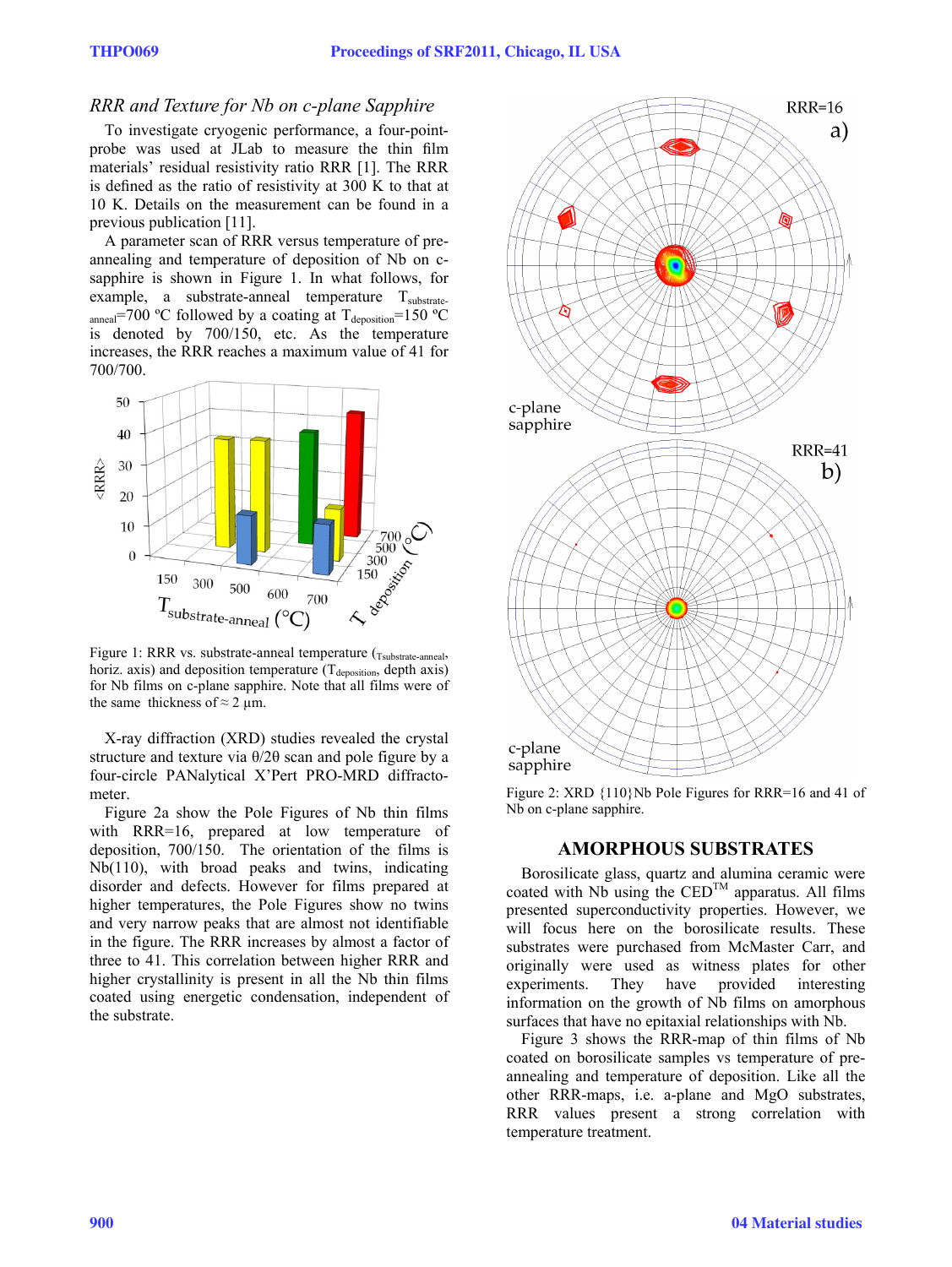## *RRR and Texture for Nb on c-plane Sapphire*

To investigate cryogenic performance, a four-pointprobe was used at JLab to measure the thin film materials' residual resistivity ratio RRR [1]. The RRR is defined as the ratio of resistivity at 300 K to that at 10 K. Details on the measurement can be found in a previous publication [11].

A parameter scan of RRR versus temperature of preannealing and temperature of deposition of Nb on csapphire is shown in Figure 1. In what follows, for example, a substrate-anneal temperature  $T_{\text{substrate}}$ anneal=700 °C followed by a coating at  $T_{\text{deposition}}$ =150 °C is denoted by 700/150, etc. As the temperature increases, the RRR reaches a maximum value of 41 for 700/700.



Figure 1: RRR vs. substrate-anneal temperature (Tsubstrate-anneal, horiz. axis) and deposition temperature  $(T_{\text{deposition}})$ , depth axis) for Nb films on c-plane sapphire. Note that all films were of the same thickness of  $\approx$  2 µm.

X-ray diffraction (XRD) studies revealed the crystal structure and texture via θ/2θ scan and pole figure by a four-circle PANalytical X'Pert PRO-MRD diffractometer.

Figure 2a show the Pole Figures of Nb thin films with RRR=16, prepared at low temperature of deposition, 700/150. The orientation of the films is Nb(110), with broad peaks and twins, indicating disorder and defects. However for films prepared at higher temperatures, the Pole Figures show no twins and very narrow peaks that are almost not identifiable in the figure. The RRR increases by almost a factor of three to 41. This correlation between higher RRR and higher crystallinity is present in all the Nb thin films coated using energetic condensation, independent of the substrate.



Figure 2: XRD {110}Nb Pole Figures for RRR=16 and 41 of Nb on c-plane sapphire.

#### **AMORPHOUS SUBSTRATES**

Borosilicate glass, quartz and alumina ceramic were coated with  $N\overline{b}$  using the  $\overline{CED}^{TM}$  apparatus. All films presented superconductivity properties. However, we will focus here on the borosilicate results. These substrates were purchased from McMaster Carr, and originally were used as witness plates for other experiments. They have provided interesting information on the growth of Nb films on amorphous surfaces that have no epitaxial relationships with Nb.

Figure 3 shows the RRR-map of thin films of Nb coated on borosilicate samples vs temperature of preannealing and temperature of deposition. Like all the other RRR-maps, i.e. a-plane and MgO substrates, RRR values present a strong correlation with temperature treatment.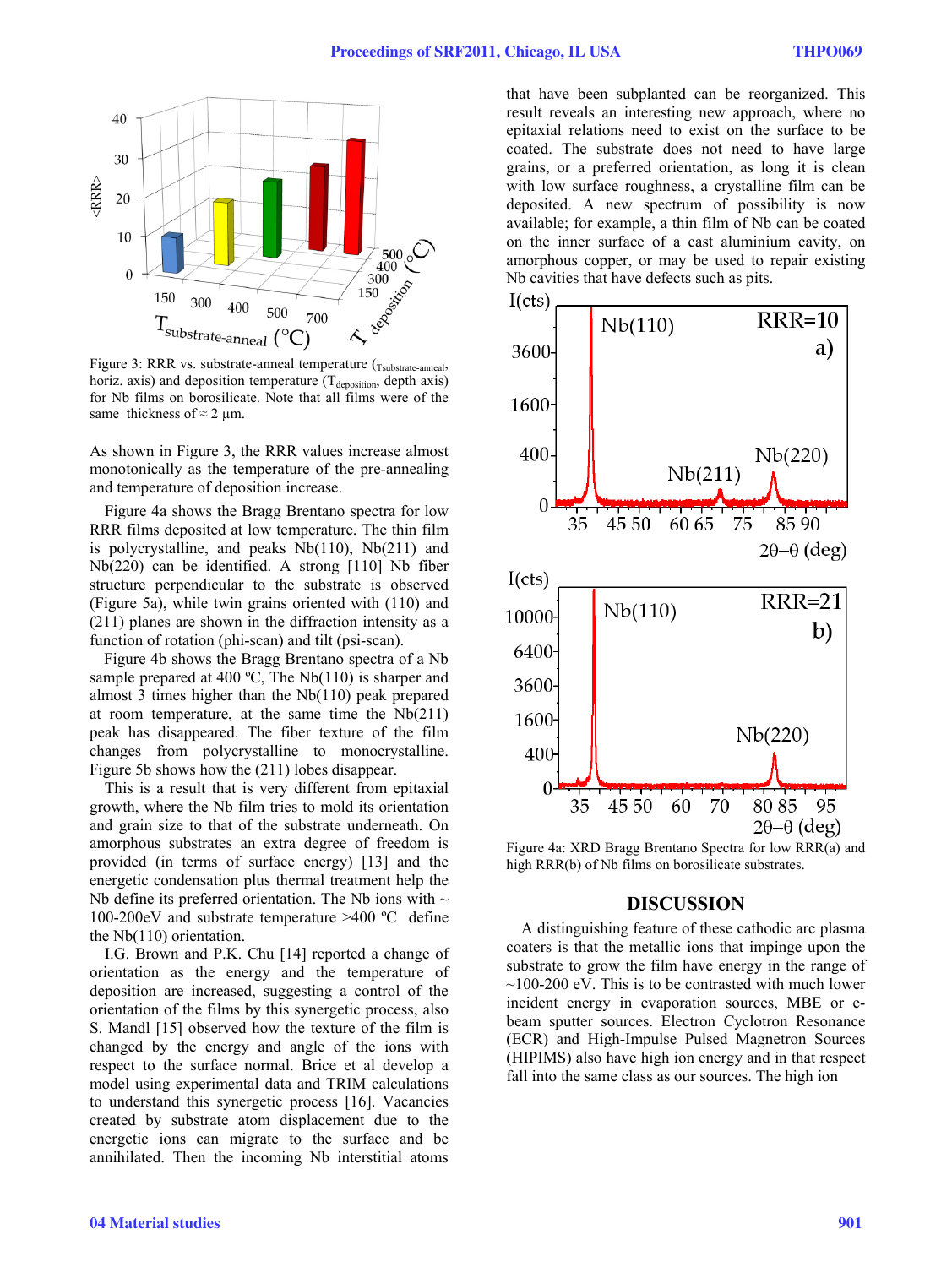

Figure 3: RRR vs. substrate-anneal temperature (Tsubstrate-anneal, horiz. axis) and deposition temperature  $(T_{\text{deposition}})$ , depth axis) for Nb films on borosilicate. Note that all films were of the same thickness of  $\approx$  2 µm.

As shown in Figure 3, the RRR values increase almost monotonically as the temperature of the pre-annealing and temperature of deposition increase.

Figure 4a shows the Bragg Brentano spectra for low RRR films deposited at low temperature. The thin film is polycrystalline, and peaks Nb(110), Nb(211) and Nb(220) can be identified. A strong [110] Nb fiber structure perpendicular to the substrate is observed (Figure 5a), while twin grains oriented with (110) and (211) planes are shown in the diffraction intensity as a function of rotation (phi-scan) and tilt (psi-scan).

Figure 4b shows the Bragg Brentano spectra of a Nb sample prepared at 400 °C, The Nb(110) is sharper and almost 3 times higher than the Nb(110) peak prepared at room temperature, at the same time the Nb(211) peak has disappeared. The fiber texture of the film changes from polycrystalline to monocrystalline. Figure 5b shows how the (211) lobes disappear.

This is a result that is very different from epitaxial growth, where the Nb film tries to mold its orientation and grain size to that of the substrate underneath. On amorphous substrates an extra degree of freedom is provided (in terms of surface energy) [13] and the energetic condensation plus thermal treatment help the Nb define its preferred orientation. The Nb ions with  $\sim$ 100-200eV and substrate temperature >400 ºC define the Nb(110) orientation.

I.G. Brown and P.K. Chu [14] reported a change of orientation as the energy and the temperature of deposition are increased, suggesting a control of the orientation of the films by this synergetic process, also S. Mandl [15] observed how the texture of the film is changed by the energy and angle of the ions with respect to the surface normal. Brice et al develop a model using experimental data and TRIM calculations to understand this synergetic process [16]. Vacancies created by substrate atom displacement due to the energetic ions can migrate to the surface and be annihilated. Then the incoming Nb interstitial atoms

that have been subplanted can be reorganized. This result reveals an interesting new approach, where no epitaxial relations need to exist on the surface to be coated. The substrate does not need to have large grains, or a preferred orientation, as long it is clean with low surface roughness, a crystalline film can be deposited. A new spectrum of possibility is now available; for example, a thin film of Nb can be coated on the inner surface of a cast aluminium cavity, on amorphous copper, or may be used to repair existing Nb cavities that have defects such as pits.



Figure 4a: XRD Bragg Brentano Spectra for low RRR(a) and high RRR(b) of Nb films on borosilicate substrates.

#### **DISCUSSION**

A distinguishing feature of these cathodic arc plasma coaters is that the metallic ions that impinge upon the substrate to grow the film have energy in the range of  $\sim$ 100-200 eV. This is to be contrasted with much lower incident energy in evaporation sources, MBE or ebeam sputter sources. Electron Cyclotron Resonance (ECR) and High-Impulse Pulsed Magnetron Sources (HIPIMS) also have high ion energy and in that respect fall into the same class as our sources. The high ion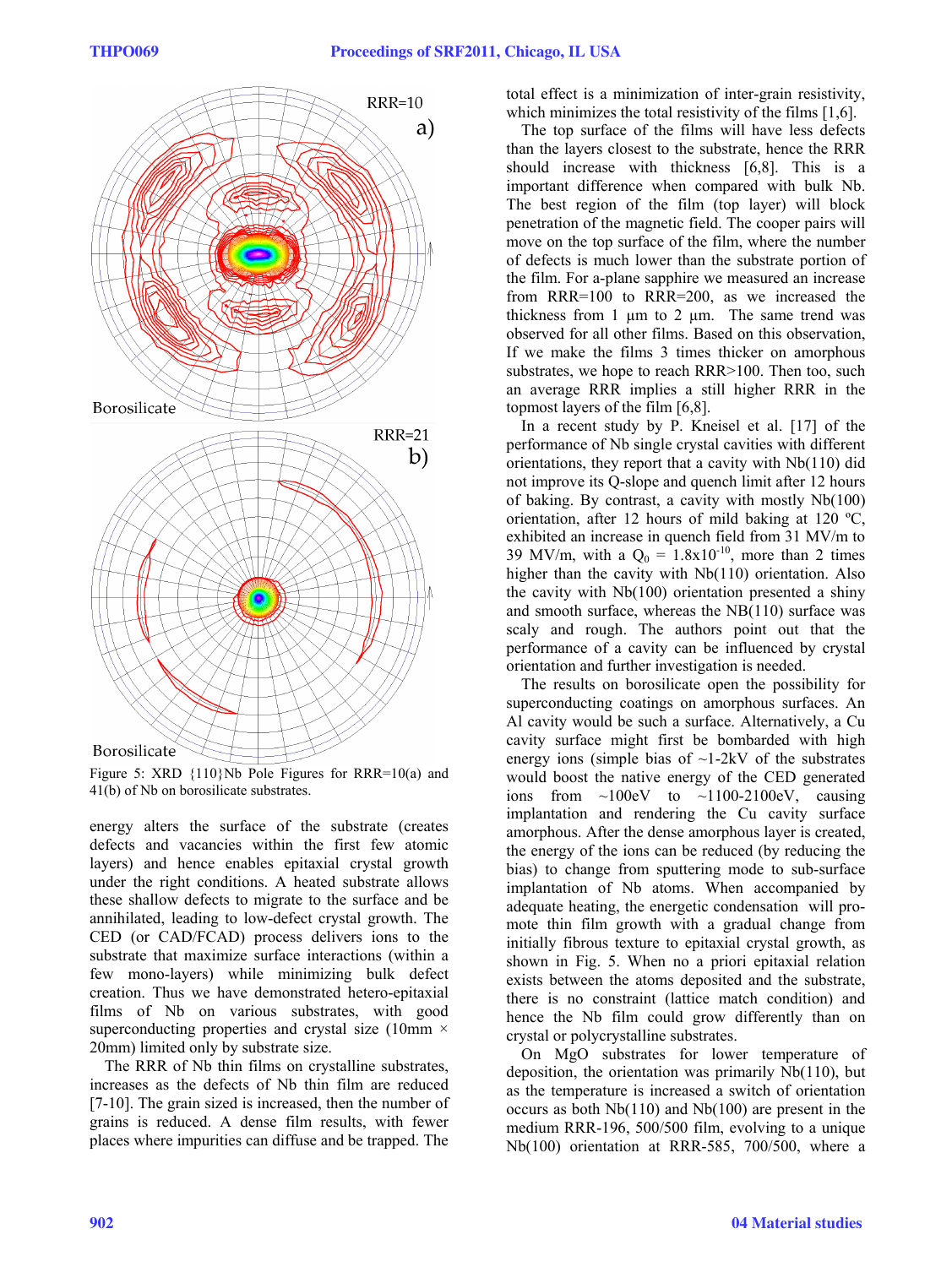

Figure 5: XRD {110}Nb Pole Figures for RRR=10(a) and 41(b) of Nb on borosilicate substrates.

energy alters the surface of the substrate (creates defects and vacancies within the first few atomic layers) and hence enables epitaxial crystal growth under the right conditions. A heated substrate allows these shallow defects to migrate to the surface and be annihilated, leading to low-defect crystal growth. The CED (or CAD/FCAD) process delivers ions to the substrate that maximize surface interactions (within a few mono-layers) while minimizing bulk defect creation. Thus we have demonstrated hetero-epitaxial films of Nb on various substrates, with good superconducting properties and crystal size (10mm  $\times$ 20mm) limited only by substrate size.

The RRR of Nb thin films on crystalline substrates, increases as the defects of Nb thin film are reduced [7-10]. The grain sized is increased, then the number of grains is reduced. A dense film results, with fewer places where impurities can diffuse and be trapped. The total effect is a minimization of inter-grain resistivity, which minimizes the total resistivity of the films [1,6].

The top surface of the films will have less defects than the layers closest to the substrate, hence the RRR should increase with thickness [6,8]. This is a important difference when compared with bulk Nb. The best region of the film (top layer) will block penetration of the magnetic field. The cooper pairs will move on the top surface of the film, where the number of defects is much lower than the substrate portion of the film. For a-plane sapphire we measured an increase from RRR=100 to RRR=200, as we increased the thickness from 1  $\mu$ m to 2  $\mu$ m. The same trend was observed for all other films. Based on this observation, If we make the films 3 times thicker on amorphous substrates, we hope to reach RRR>100. Then too, such an average RRR implies a still higher RRR in the topmost layers of the film [6,8].

In a recent study by P. Kneisel et al. [17] of the performance of Nb single crystal cavities with different orientations, they report that a cavity with Nb(110) did not improve its Q-slope and quench limit after 12 hours of baking. By contrast, a cavity with mostly Nb(100) orientation, after 12 hours of mild baking at 120 ºC, exhibited an increase in quench field from 31 MV/m to 39 MV/m, with a  $Q_0 = 1.8 \times 10^{-10}$ , more than 2 times higher than the cavity with Nb(110) orientation. Also the cavity with Nb(100) orientation presented a shiny and smooth surface, whereas the NB(110) surface was scaly and rough. The authors point out that the performance of a cavity can be influenced by crystal orientation and further investigation is needed.

The results on borosilicate open the possibility for superconducting coatings on amorphous surfaces. An Al cavity would be such a surface. Alternatively, a Cu cavity surface might first be bombarded with high energy ions (simple bias of  $\sim$ 1-2kV of the substrates would boost the native energy of the CED generated ions from  $\sim$ 100eV to  $\sim$ 1100-2100eV, causing implantation and rendering the Cu cavity surface amorphous. After the dense amorphous layer is created, the energy of the ions can be reduced (by reducing the bias) to change from sputtering mode to sub-surface implantation of Nb atoms. When accompanied by adequate heating, the energetic condensation will promote thin film growth with a gradual change from initially fibrous texture to epitaxial crystal growth, as shown in Fig. 5. When no a priori epitaxial relation exists between the atoms deposited and the substrate, there is no constraint (lattice match condition) and hence the Nb film could grow differently than on crystal or polycrystalline substrates.

On MgO substrates for lower temperature of deposition, the orientation was primarily Nb(110), but as the temperature is increased a switch of orientation occurs as both Nb(110) and Nb(100) are present in the medium RRR-196, 500/500 film, evolving to a unique Nb(100) orientation at RRR-585, 700/500, where a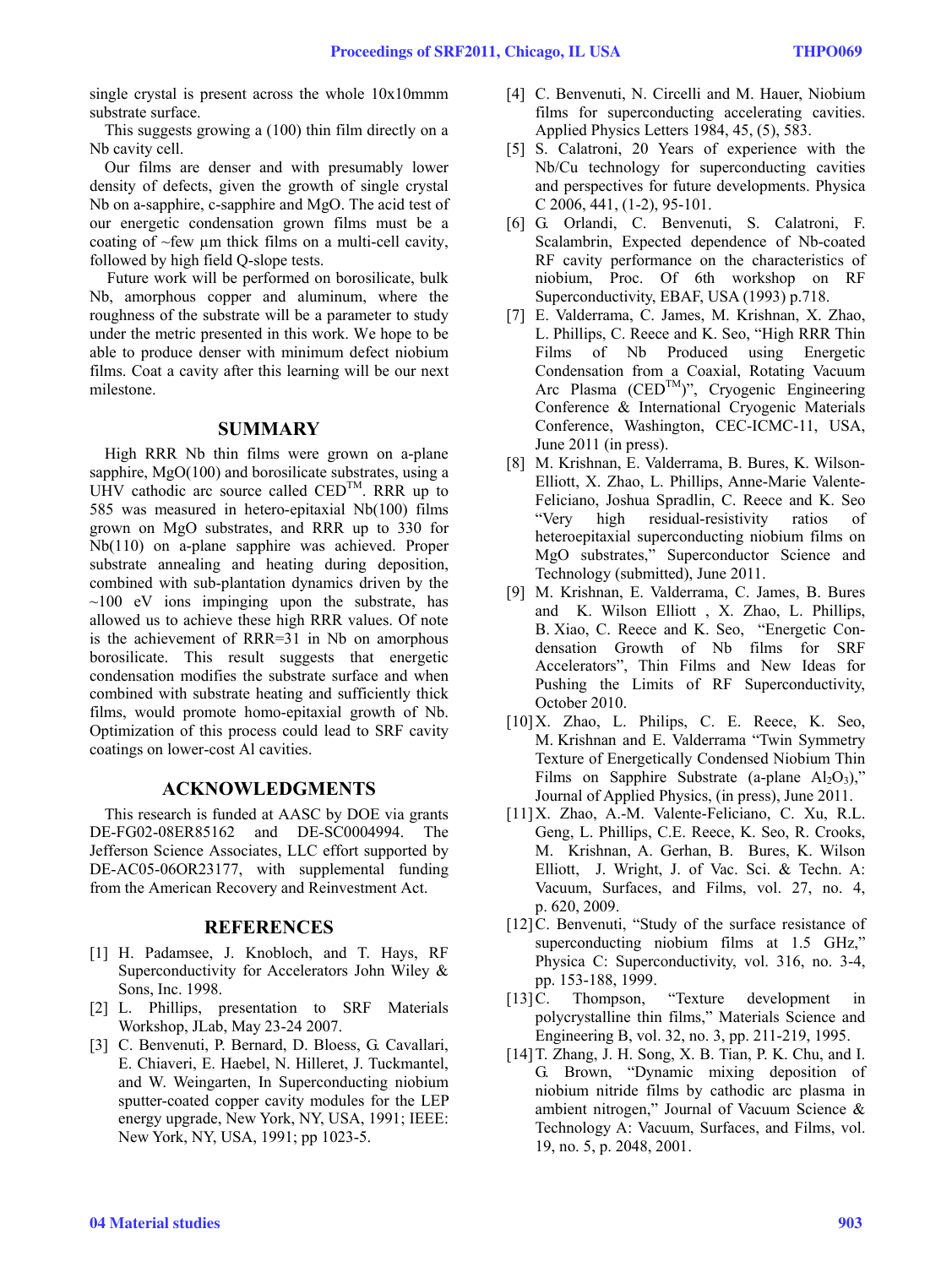single crystal is present across the whole 10x10mmm substrate surface.

This suggests growing a (100) thin film directly on a Nb cavity cell.

Our films are denser and with presumably lower density of defects, given the growth of single crystal Nb on a-sapphire, c-sapphire and MgO. The acid test of our energetic condensation grown films must be a coating of ~few µm thick films on a multi-cell cavity, followed by high field Q-slope tests.

Future work will be performed on borosilicate, bulk Nb, amorphous copper and aluminum, where the roughness of the substrate will be a parameter to study under the metric presented in this work. We hope to be able to produce denser with minimum defect niobium films. Coat a cavity after this learning will be our next milestone.

### **SUMMARY**

High RRR Nb thin films were grown on a-plane sapphire, MgO(100) and borosilicate substrates, using a UHV cathodic arc source called CED<sup>TM</sup>. RRR up to 585 was measured in hetero-epitaxial Nb(100) films grown on MgO substrates, and RRR up to 330 for Nb(110) on a-plane sapphire was achieved. Proper substrate annealing and heating during deposition, combined with sub-plantation dynamics driven by the  $\sim$ 100 eV ions impinging upon the substrate, has allowed us to achieve these high RRR values. Of note is the achievement of RRR=31 in Nb on amorphous borosilicate. This result suggests that energetic condensation modifies the substrate surface and when combined with substrate heating and sufficiently thick films, would promote homo-epitaxial growth of Nb. Optimization of this process could lead to SRF cavity coatings on lower-cost Al cavities.

#### **ACKNOWLEDGMENTS**

This research is funded at AASC by DOE via grants DE-FG02-08ER85162 and DE-SC0004994. The Jefferson Science Associates, LLC effort supported by DE-AC05-06OR23177, with supplemental funding from the American Recovery and Reinvestment Act.

#### **REFERENCES**

- [1] H. Padamsee, J. Knobloch, and T. Hays, RF Superconductivity for Accelerators John Wiley & Sons, Inc. 1998.
- [2] L. Phillips, presentation to SRF Materials Workshop, JLab, May 23-24 2007.
- [3] C. Benvenuti, P. Bernard, D. Bloess, G. Cavallari, E. Chiaveri, E. Haebel, N. Hilleret, J. Tuckmantel, and W. Weingarten, In Superconducting niobium sputter-coated copper cavity modules for the LEP energy upgrade, New York, NY, USA, 1991; IEEE: New York, NY, USA, 1991; pp 1023-5.
- [4] C. Benvenuti, N. Circelli and M. Hauer, Niobium films for superconducting accelerating cavities. Applied Physics Letters 1984, 45, (5), 583.
- [5] S. Calatroni, 20 Years of experience with the Nb/Cu technology for superconducting cavities and perspectives for future developments. Physica C 2006, 441, (1-2), 95-101.
- [6] G. Orlandi, C. Benvenuti, S. Calatroni, F. Scalambrin, Expected dependence of Nb-coated RF cavity performance on the characteristics of niobium, Proc. Of 6th workshop on RF Superconductivity, EBAF, USA (1993) p.718.
- [7] E. Valderrama, C. James, M. Krishnan, X. Zhao, L. Phillips, C. Reece and K. Seo, "High RRR Thin Films of Nb Produced using Energetic Condensation from a Coaxial, Rotating Vacuum Arc Plasma (CED<sup>TM</sup>)", Cryogenic Engineering Conference & International Cryogenic Materials Conference, Washington, CEC-ICMC-11, USA, June 2011 (in press).
- [8] M. Krishnan, E. Valderrama, B. Bures, K. Wilson-Elliott, X. Zhao, L. Phillips, Anne-Marie Valente-Feliciano, Joshua Spradlin, C. Reece and K. Seo "Very high residual-resistivity ratios of heteroepitaxial superconducting niobium films on MgO substrates," Superconductor Science and Technology (submitted), June 2011.
- [9] M. Krishnan, E. Valderrama, C. James, B. Bures and K. Wilson Elliott , X. Zhao, L. Phillips, B. Xiao, C. Reece and K. Seo, "Energetic Condensation Growth of Nb films for SRF Accelerators", Thin Films and New Ideas for Pushing the Limits of RF Superconductivity, October 2010.
- [10] X. Zhao, L. Philips, C. E. Reece, K. Seo, M. Krishnan and E. Valderrama "Twin Symmetry Texture of Energetically Condensed Niobium Thin Films on Sapphire Substrate (a-plane  $A<sub>1</sub>, O<sub>3</sub>$ )," Journal of Applied Physics, (in press), June 2011.
- [11]X. Zhao, A.-M. Valente-Feliciano, C. Xu, R.L. Geng, L. Phillips, C.E. Reece, K. Seo, R. Crooks, M. Krishnan, A. Gerhan, B. Bures, K. Wilson Elliott, J. Wright, J. of Vac. Sci. & Techn. A: Vacuum, Surfaces, and Films, vol. 27, no. 4, p. 620, 2009.
- [12] C. Benvenuti, "Study of the surface resistance of superconducting niobium films at 1.5 GHz," Physica C: Superconductivity, vol. 316, no. 3-4, pp. 153-188, 1999.
- [13] C. Thompson, "Texture development in polycrystalline thin films," Materials Science and Engineering B, vol. 32, no. 3, pp. 211-219, 1995.
- [14]T. Zhang, J. H. Song, X. B. Tian, P. K. Chu, and I. G. Brown, "Dynamic mixing deposition of niobium nitride films by cathodic arc plasma in ambient nitrogen," Journal of Vacuum Science & Technology A: Vacuum, Surfaces, and Films, vol. 19, no. 5, p. 2048, 2001.